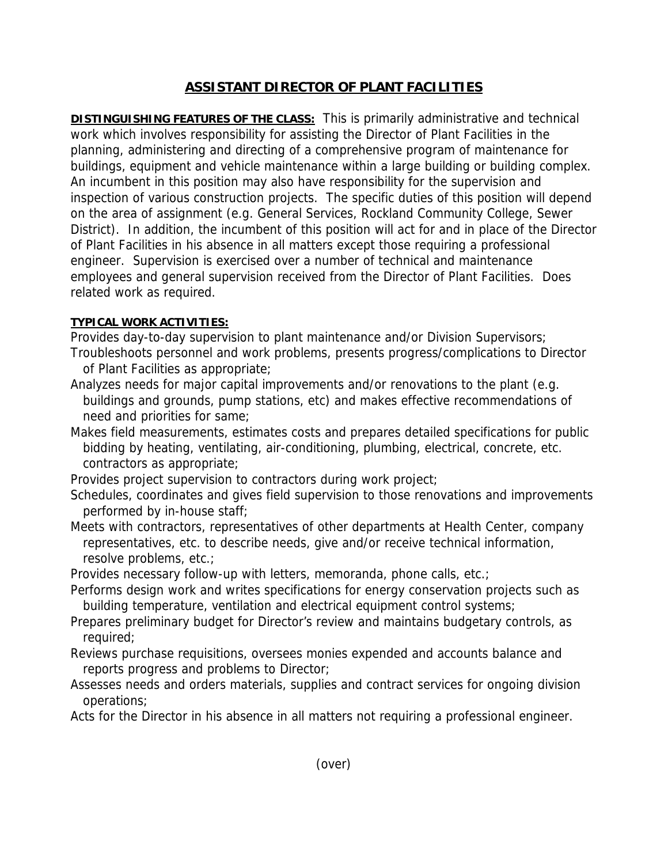## **ASSISTANT DIRECTOR OF PLANT FACILITIES**

**DISTINGUISHING FEATURES OF THE CLASS:** This is primarily administrative and technical work which involves responsibility for assisting the Director of Plant Facilities in the planning, administering and directing of a comprehensive program of maintenance for buildings, equipment and vehicle maintenance within a large building or building complex. An incumbent in this position may also have responsibility for the supervision and inspection of various construction projects. The specific duties of this position will depend on the area of assignment (e.g. General Services, Rockland Community College, Sewer District). In addition, the incumbent of this position will act for and in place of the Director of Plant Facilities in his absence in all matters except those requiring a professional engineer. Supervision is exercised over a number of technical and maintenance employees and general supervision received from the Director of Plant Facilities. Does related work as required.

## **TYPICAL WORK ACTIVITIES:**

Provides day-to-day supervision to plant maintenance and/or Division Supervisors; Troubleshoots personnel and work problems, presents progress/complications to Director of Plant Facilities as appropriate;

- Analyzes needs for major capital improvements and/or renovations to the plant (e.g. buildings and grounds, pump stations, etc) and makes effective recommendations of need and priorities for same;
- Makes field measurements, estimates costs and prepares detailed specifications for public bidding by heating, ventilating, air-conditioning, plumbing, electrical, concrete, etc. contractors as appropriate;

Provides project supervision to contractors during work project;

- Schedules, coordinates and gives field supervision to those renovations and improvements performed by in-house staff;
- Meets with contractors, representatives of other departments at Health Center, company representatives, etc. to describe needs, give and/or receive technical information, resolve problems, etc.;

Provides necessary follow-up with letters, memoranda, phone calls, etc.;

- Performs design work and writes specifications for energy conservation projects such as building temperature, ventilation and electrical equipment control systems;
- Prepares preliminary budget for Director's review and maintains budgetary controls, as required;
- Reviews purchase requisitions, oversees monies expended and accounts balance and reports progress and problems to Director;
- Assesses needs and orders materials, supplies and contract services for ongoing division operations;

Acts for the Director in his absence in all matters not requiring a professional engineer.